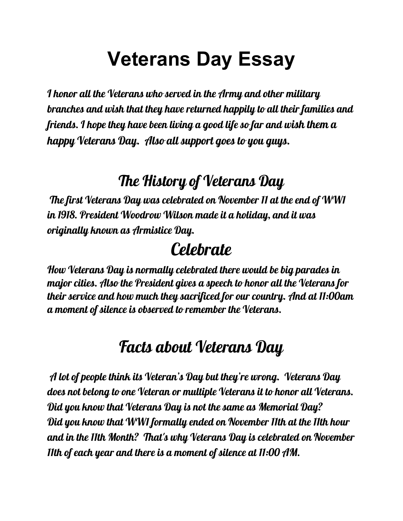# **Veterans Day Essay**

I honor all the Veterans who served in the Army and other military branches and wish that they have returned happily to all their families and friends. I hope they have been living a good life so far and wish them a happy Veterans Day. Also all support goes to you guys.

## The History of Veterans Day

The first Veterans Day was celebrated on November 11 at the end of WW1 in 1918. President Woodrow Wilson made it a holiday, and it was originally known as Armistice Day.

## **Celebrate**

How Veterans Day is normally celebrated there would be big parades in major cities. Also the President gives a speech to honor all the Veterans for their service and how much they sacrificed for our country. And at 11:00am a moment of silence is observed to remember the Veterans.

#### Facts about Veterans Day

A lot of people think its Veteran's Day but they're wrong. Veterans Day does not belong to one Veteran or multiple Veterans it to honor all Veterans. Did you know that Veterans Day is not the same as Memorial Day? Did you know that WW1 formally ended on November 11th at the 11th hour and in the 11th Month? That's why Veterans Day is celebrated on November 11th of each year and there is a moment of silence at 11:00 AM.